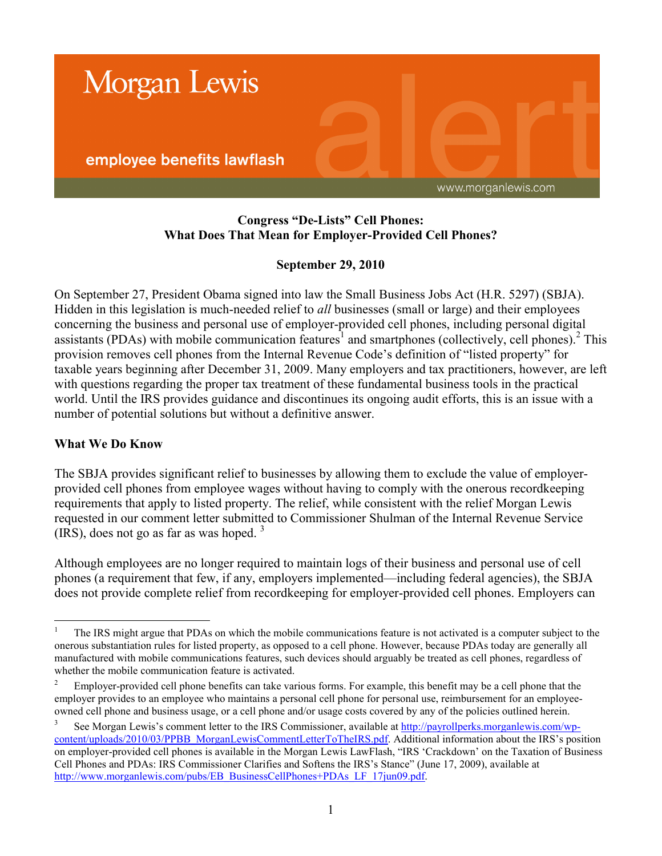

### **Congress "De-Lists" Cell Phones: What Does That Mean for Employer-Provided Cell Phones?**

### **September 29, 2010**

On September 27, President Obama signed into law the Small Business Jobs Act (H.R. 5297) (SBJA). Hidden in this legislation is much-needed relief to *all* businesses (small or large) and their employees concerning the business and personal use of employer-provided cell phones, including personal digital assistants (PDAs) with mobile communication features<sup>1</sup> and smartphones (collectively, cell phones).<sup>2</sup> This provision removes cell phones from the Internal Revenue Code's definition of "listed property" for taxable years beginning after December 31, 2009. Many employers and tax practitioners, however, are left with questions regarding the proper tax treatment of these fundamental business tools in the practical world. Until the IRS provides guidance and discontinues its ongoing audit efforts, this is an issue with a number of potential solutions but without a definitive answer.

#### **What We Do Know**

The SBJA provides significant relief to businesses by allowing them to exclude the value of employerprovided cell phones from employee wages without having to comply with the onerous recordkeeping requirements that apply to listed property. The relief, while consistent with the relief Morgan Lewis requested in our comment letter submitted to Commissioner Shulman of the Internal Revenue Service  $(IRS)$ , does not go as far as was hoped.<sup>3</sup>

Although employees are no longer required to maintain logs of their business and personal use of cell phones (a requirement that few, if any, employers implemented—including federal agencies), the SBJA does not provide complete relief from recordkeeping for employer-provided cell phones. Employers can

 $\bar{1}$ <sup>1</sup> The IRS might argue that PDAs on which the mobile communications feature is not activated is a computer subject to the onerous substantiation rules for listed property, as opposed to a cell phone. However, because PDAs today are generally all manufactured with mobile communications features, such devices should arguably be treated as cell phones, regardless of whether the mobile communication feature is activated.

<sup>&</sup>lt;sup>2</sup> Employer-provided cell phone benefits can take various forms. For example, this benefit may be a cell phone that the employer provides to an employee who maintains a personal cell phone for personal use, reimbursement for an employeeowned cell phone and business usage, or a cell phone and/or usage costs covered by any of the policies outlined herein.

<sup>3</sup> See Morgan Lewis's comment letter to the IRS Commissioner, available at [http://payrollperks.morganlewis.com/wp](http://payrollperks.morganlewis.com/wp-content/uploads/2010/03/PPBB_MorganLewisCommentLetterToTheIRS.pdf)[content/uploads/2010/03/PPBB\\_MorganLewisCommentLetterToTheIRS.pdf.](http://payrollperks.morganlewis.com/wp-content/uploads/2010/03/PPBB_MorganLewisCommentLetterToTheIRS.pdf) Additional information about the IRS's position on employer-provided cell phones is available in the Morgan Lewis LawFlash, "IRS 'Crackdown' on the Taxation of Business Cell Phones and PDAs: IRS Commissioner Clarifies and Softens the IRS's Stance" (June 17, 2009), available at [http://www.morganlewis.com/pubs/EB\\_BusinessCellPhones+PDAs\\_LF\\_17jun09.pdf.](http://www.morganlewis.com/pubs/EB_BusinessCellPhones+PDAs_LF_17jun09.pdf)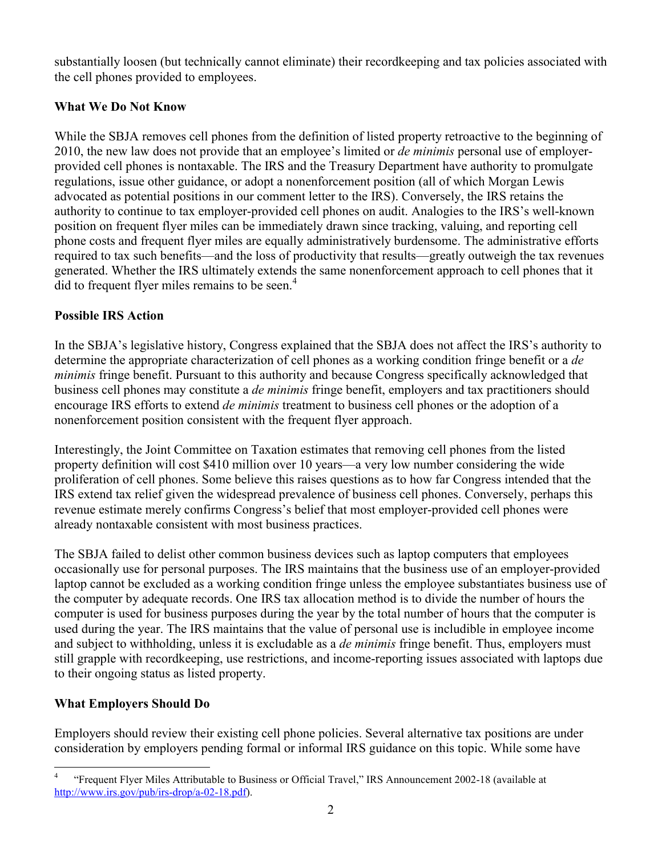substantially loosen (but technically cannot eliminate) their recordkeeping and tax policies associated with the cell phones provided to employees.

## **What We Do Not Know**

While the SBJA removes cell phones from the definition of listed property retroactive to the beginning of 2010, the new law does not provide that an employee's limited or *de minimis* personal use of employerprovided cell phones is nontaxable. The IRS and the Treasury Department have authority to promulgate regulations, issue other guidance, or adopt a nonenforcement position (all of which Morgan Lewis advocated as potential positions in our comment letter to the IRS). Conversely, the IRS retains the authority to continue to tax employer-provided cell phones on audit. Analogies to the IRS's well-known position on frequent flyer miles can be immediately drawn since tracking, valuing, and reporting cell phone costs and frequent flyer miles are equally administratively burdensome. The administrative efforts required to tax such benefits—and the loss of productivity that results—greatly outweigh the tax revenues generated. Whether the IRS ultimately extends the same nonenforcement approach to cell phones that it did to frequent flyer miles remains to be seen.<sup>4</sup>

## **Possible IRS Action**

In the SBJA's legislative history, Congress explained that the SBJA does not affect the IRS's authority to determine the appropriate characterization of cell phones as a working condition fringe benefit or a *de minimis* fringe benefit. Pursuant to this authority and because Congress specifically acknowledged that business cell phones may constitute a *de minimis* fringe benefit, employers and tax practitioners should encourage IRS efforts to extend *de minimis* treatment to business cell phones or the adoption of a nonenforcement position consistent with the frequent flyer approach.

Interestingly, the Joint Committee on Taxation estimates that removing cell phones from the listed property definition will cost \$410 million over 10 years—a very low number considering the wide proliferation of cell phones. Some believe this raises questions as to how far Congress intended that the IRS extend tax relief given the widespread prevalence of business cell phones. Conversely, perhaps this revenue estimate merely confirms Congress's belief that most employer-provided cell phones were already nontaxable consistent with most business practices.

The SBJA failed to delist other common business devices such as laptop computers that employees occasionally use for personal purposes. The IRS maintains that the business use of an employer-provided laptop cannot be excluded as a working condition fringe unless the employee substantiates business use of the computer by adequate records. One IRS tax allocation method is to divide the number of hours the computer is used for business purposes during the year by the total number of hours that the computer is used during the year. The IRS maintains that the value of personal use is includible in employee income and subject to withholding, unless it is excludable as a *de minimis* fringe benefit. Thus, employers must still grapple with recordkeeping, use restrictions, and income-reporting issues associated with laptops due to their ongoing status as listed property.

# **What Employers Should Do**

Employers should review their existing cell phone policies. Several alternative tax positions are under consideration by employers pending formal or informal IRS guidance on this topic. While some have

 $\overline{a}$ 4 "Frequent Flyer Miles Attributable to Business or Official Travel," IRS Announcement 2002-18 (available at [http://www.irs.gov/pub/irs-drop/a-02-18.pdf\).](http://www.irs.gov/pub/irs-drop/a-02-18.pdf)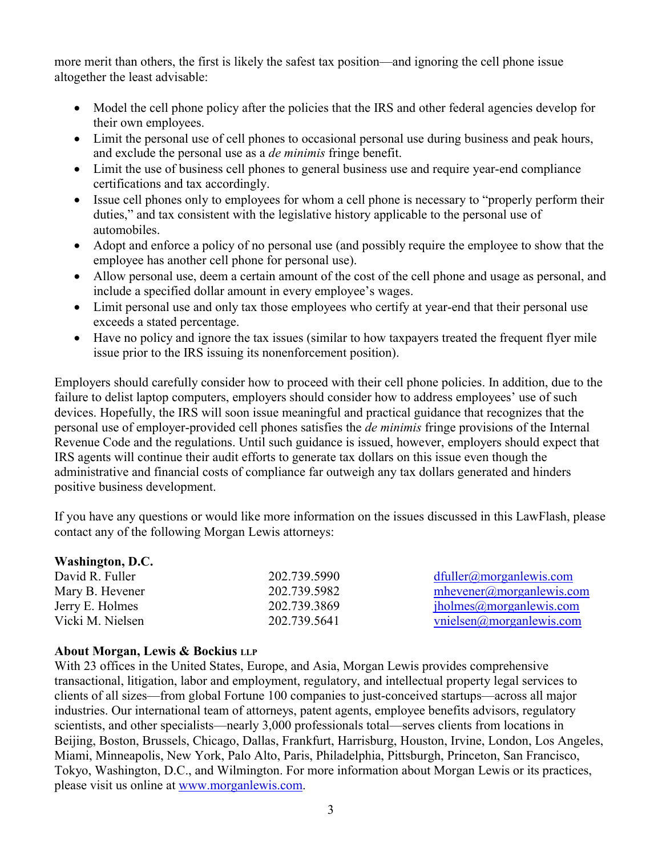more merit than others, the first is likely the safest tax position—and ignoring the cell phone issue altogether the least advisable:

- Model the cell phone policy after the policies that the IRS and other federal agencies develop for their own employees.
- Limit the personal use of cell phones to occasional personal use during business and peak hours, and exclude the personal use as a *de minimis* fringe benefit.
- Limit the use of business cell phones to general business use and require year-end compliance certifications and tax accordingly.
- Issue cell phones only to employees for whom a cell phone is necessary to "properly perform their duties," and tax consistent with the legislative history applicable to the personal use of automobiles.
- Adopt and enforce a policy of no personal use (and possibly require the employee to show that the employee has another cell phone for personal use).
- Allow personal use, deem a certain amount of the cost of the cell phone and usage as personal, and include a specified dollar amount in every employee's wages.
- Limit personal use and only tax those employees who certify at year-end that their personal use exceeds a stated percentage.
- Have no policy and ignore the tax issues (similar to how taxpayers treated the frequent flyer mile issue prior to the IRS issuing its nonenforcement position).

Employers should carefully consider how to proceed with their cell phone policies. In addition, due to the failure to delist laptop computers, employers should consider how to address employees' use of such devices. Hopefully, the IRS will soon issue meaningful and practical guidance that recognizes that the personal use of employer-provided cell phones satisfies the *de minimis* fringe provisions of the Internal Revenue Code and the regulations. Until such guidance is issued, however, employers should expect that IRS agents will continue their audit efforts to generate tax dollars on this issue even though the administrative and financial costs of compliance far outweigh any tax dollars generated and hinders positive business development.

If you have any questions or would like more information on the issues discussed in this LawFlash, please contact any of the following Morgan Lewis attorneys:

| <b>Washington, D.C.</b> |              |                                     |
|-------------------------|--------------|-------------------------------------|
| David R. Fuller         | 202.739.5990 | $dfuller(\partial)$ morganiewis.com |
| Mary B. Hevener         | 202.739.5982 | $m$ hevener@morganlewis.com         |
| Jerry E. Holmes         | 202.739.3869 | iholmes@morganlewis.com             |
| Vicki M. Nielsen        | 202.739.5641 | vnielsen(a) morganlewis.com         |

#### **About Morgan, Lewis & Bockius LLP**

With 23 offices in the United States, Europe, and Asia, Morgan Lewis provides comprehensive transactional, litigation, labor and employment, regulatory, and intellectual property legal services to clients of all sizes—from global Fortune 100 companies to just-conceived startups—across all major industries. Our international team of attorneys, patent agents, employee benefits advisors, regulatory scientists, and other specialists—nearly 3,000 professionals total—serves clients from locations in Beijing, Boston, Brussels, Chicago, Dallas, Frankfurt, Harrisburg, Houston, Irvine, London, Los Angeles, Miami, Minneapolis, New York, Palo Alto, Paris, Philadelphia, Pittsburgh, Princeton, San Francisco, Tokyo, Washington, D.C., and Wilmington. For more information about Morgan Lewis or its practices, please visit us online at [www.morganlewis.com.](http://www.morganlewis.com)